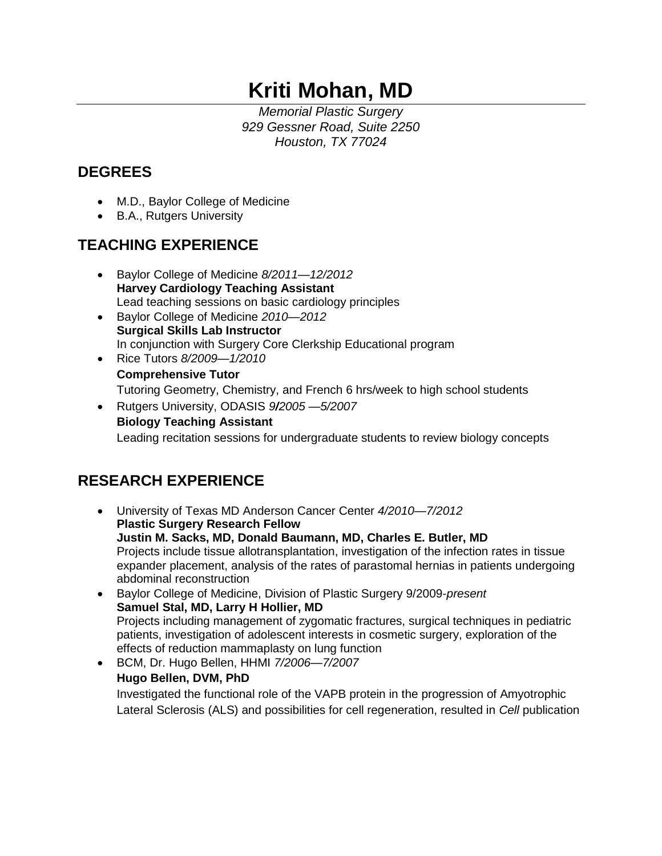# **Kriti Mohan, MD**

*Memorial Plastic Surgery 929 Gessner Road, Suite 2250 Houston, TX 77024*

## **DEGREES**

- M.D., Baylor College of Medicine
- B.A., Rutgers University

## **TEACHING EXPERIENCE**

- Baylor College of Medicine *8/2011—12/2012* **Harvey Cardiology Teaching Assistant** Lead teaching sessions on basic cardiology principles
- Baylor College of Medicine *2010—2012* **Surgical Skills Lab Instructor** In conjunction with Surgery Core Clerkship Educational program
- Rice Tutors *8/2009—1/2010* **Comprehensive Tutor** Tutoring Geometry, Chemistry, and French 6 hrs/week to high school students
- Rutgers University, ODASIS *9/2005 —5/2007* **Biology Teaching Assistant** Leading recitation sessions for undergraduate students to review biology concepts

## **RESEARCH EXPERIENCE**

- University of Texas MD Anderson Cancer Center *4/2010—7/2012* **Plastic Surgery Research Fellow Justin M. Sacks, MD, Donald Baumann, MD, Charles E. Butler, MD** Projects include tissue allotransplantation, investigation of the infection rates in tissue expander placement, analysis of the rates of parastomal hernias in patients undergoing abdominal reconstruction
- Baylor College of Medicine, Division of Plastic Surgery 9/2009-*present* **Samuel Stal, MD, Larry H Hollier, MD** Projects including management of zygomatic fractures, surgical techniques in pediatric patients, investigation of adolescent interests in cosmetic surgery, exploration of the effects of reduction mammaplasty on lung function
- BCM, Dr. Hugo Bellen, HHMI *7/2006—7/2007* **Hugo Bellen, DVM, PhD** Investigated the functional role of the VAPB protein in the progression of Amyotrophic Lateral Sclerosis (ALS) and possibilities for cell regeneration, resulted in *Cell* publication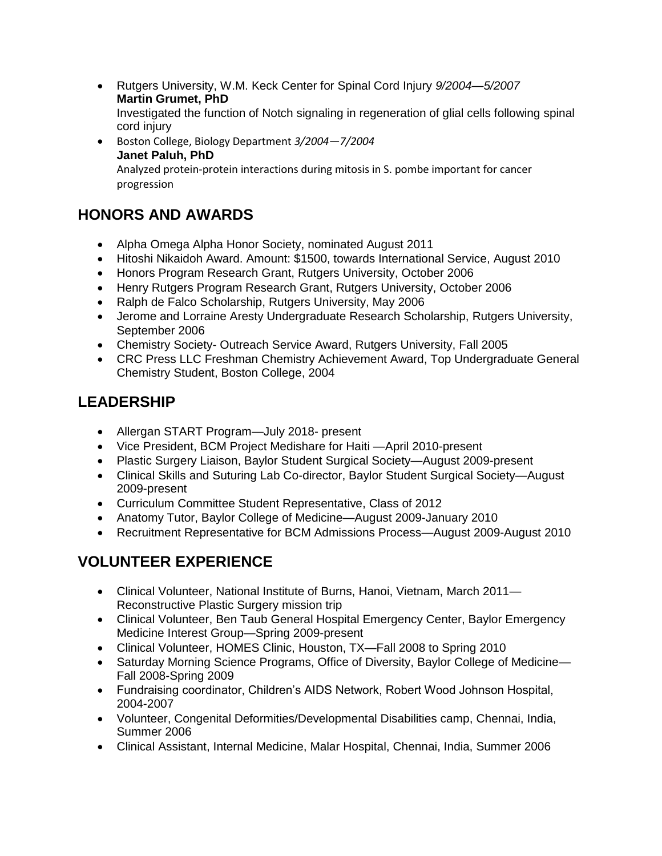- Rutgers University, W.M. Keck Center for Spinal Cord Injury *9/2004—5/2007* **Martin Grumet, PhD** Investigated the function of Notch signaling in regeneration of glial cells following spinal cord injury
- Boston College, Biology Department *3/2004—7/2004* **Janet Paluh, PhD** Analyzed protein-protein interactions during mitosis in S. pombe important for cancer progression

#### **HONORS AND AWARDS**

- Alpha Omega Alpha Honor Society, nominated August 2011
- Hitoshi Nikaidoh Award. Amount: \$1500, towards International Service, August 2010
- Honors Program Research Grant, Rutgers University, October 2006
- Henry Rutgers Program Research Grant, Rutgers University, October 2006
- Ralph de Falco Scholarship, Rutgers University, May 2006
- Jerome and Lorraine Aresty Undergraduate Research Scholarship, Rutgers University, September 2006
- Chemistry Society- Outreach Service Award, Rutgers University, Fall 2005
- CRC Press LLC Freshman Chemistry Achievement Award, Top Undergraduate General Chemistry Student, Boston College, 2004

### **LEADERSHIP**

- Allergan START Program—July 2018- present
- Vice President, BCM Project Medishare for Haiti —April 2010-present
- Plastic Surgery Liaison, Baylor Student Surgical Society—August 2009-present
- Clinical Skills and Suturing Lab Co-director, Baylor Student Surgical Society—August 2009-present
- Curriculum Committee Student Representative, Class of 2012
- Anatomy Tutor, Baylor College of Medicine—August 2009-January 2010
- Recruitment Representative for BCM Admissions Process—August 2009-August 2010

### **VOLUNTEER EXPERIENCE**

- Clinical Volunteer, National Institute of Burns, Hanoi, Vietnam, March 2011— Reconstructive Plastic Surgery mission trip
- Clinical Volunteer, Ben Taub General Hospital Emergency Center, Baylor Emergency Medicine Interest Group—Spring 2009-present
- Clinical Volunteer, HOMES Clinic, Houston, TX—Fall 2008 to Spring 2010
- Saturday Morning Science Programs, Office of Diversity, Baylor College of Medicine— Fall 2008-Spring 2009
- Fundraising coordinator, Children's AIDS Network, Robert Wood Johnson Hospital, 2004-2007
- Volunteer, Congenital Deformities/Developmental Disabilities camp, Chennai, India, Summer 2006
- Clinical Assistant, Internal Medicine, Malar Hospital, Chennai, India, Summer 2006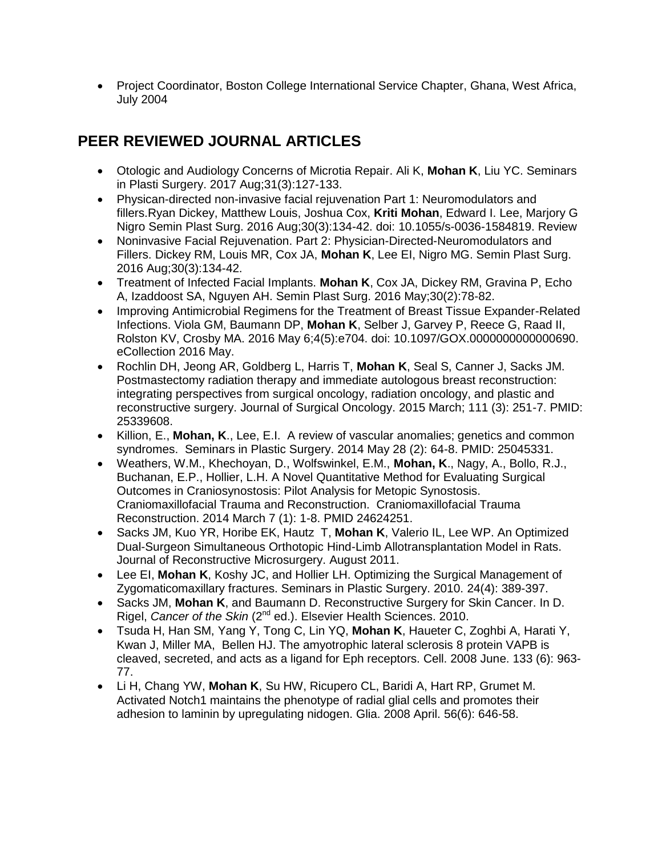• Project Coordinator, Boston College International Service Chapter, Ghana, West Africa, July 2004

#### **PEER REVIEWED JOURNAL ARTICLES**

- Otologic and Audiology Concerns of Microtia Repair. Ali K, **Mohan K**, Liu YC. Seminars in Plasti Surgery. 2017 Aug;31(3):127-133.
- Physican-directed non-invasive facial rejuvenation Part 1: Neuromodulators and fillers.Ryan Dickey, Matthew Louis, Joshua Cox, **Kriti Mohan**, Edward I. Lee, Marjory G Nigro Semin Plast Surg. 2016 Aug;30(3):134-42. doi: 10.1055/s-0036-1584819. Review
- Noninvasive Facial Rejuvenation. Part 2: Physician-Directed-Neuromodulators and Fillers. Dickey RM, Louis MR, Cox JA, **Mohan K**, Lee EI, Nigro MG. Semin Plast Surg. 2016 Aug;30(3):134-42.
- Treatment of Infected Facial Implants. **Mohan K**, Cox JA, Dickey RM, Gravina P, Echo A, Izaddoost SA, Nguyen AH. Semin Plast Surg. 2016 May;30(2):78-82.
- Improving Antimicrobial Regimens for the Treatment of Breast Tissue Expander-Related Infections. Viola GM, Baumann DP, **Mohan K**, Selber J, Garvey P, Reece G, Raad II, Rolston KV, Crosby MA. 2016 May 6;4(5):e704. doi: 10.1097/GOX.0000000000000690. eCollection 2016 May.
- Rochlin DH, Jeong AR, Goldberg L, Harris T, **Mohan K**, Seal S, Canner J, Sacks JM. Postmastectomy radiation therapy and immediate autologous breast reconstruction: integrating perspectives from surgical oncology, radiation oncology, and plastic and reconstructive surgery. Journal of Surgical Oncology. 2015 March; 111 (3): 251-7. PMID: 25339608.
- Killion, E., **Mohan, K**., Lee, E.I. A review of vascular anomalies; genetics and common syndromes. Seminars in Plastic Surgery. 2014 May 28 (2): 64-8. PMID: 25045331.
- Weathers, W.M., Khechoyan, D., Wolfswinkel, E.M., **Mohan, K**., Nagy, A., Bollo, R.J., Buchanan, E.P., Hollier, L.H. A Novel Quantitative Method for Evaluating Surgical Outcomes in Craniosynostosis: Pilot Analysis for Metopic Synostosis. Craniomaxillofacial Trauma and Reconstruction. Craniomaxillofacial Trauma Reconstruction. 2014 March 7 (1): 1-8. PMID 24624251.
- Sacks JM, Kuo YR, Horibe EK, Hautz T, **Mohan K**, Valerio IL, Lee WP. An Optimized Dual-Surgeon Simultaneous Orthotopic Hind-Limb Allotransplantation Model in Rats. Journal of Reconstructive Microsurgery. August 2011.
- Lee EI, **Mohan K**, Koshy JC, and Hollier LH. Optimizing the Surgical Management of Zygomaticomaxillary fractures. Seminars in Plastic Surgery. 2010. 24(4): 389-397.
- Sacks JM, **Mohan K**, and Baumann D. Reconstructive Surgery for Skin Cancer. In D. Rigel, *Cancer of the Skin* (2<sup>nd</sup> ed.). Elsevier Health Sciences. 2010.
- Tsuda H, Han SM, Yang Y, Tong C, Lin YQ, **Mohan K**, Haueter C, Zoghbi A, Harati Y, Kwan J, Miller MA, Bellen HJ. The amyotrophic lateral sclerosis 8 protein VAPB is cleaved, secreted, and acts as a ligand for Eph receptors. Cell. 2008 June. 133 (6): 963- 77.
- Li H, Chang YW, **Mohan K**, Su HW, Ricupero CL, Baridi A, Hart RP, Grumet M. Activated Notch1 maintains the phenotype of radial glial cells and promotes their adhesion to laminin by upregulating nidogen. Glia. 2008 April. 56(6): 646-58.